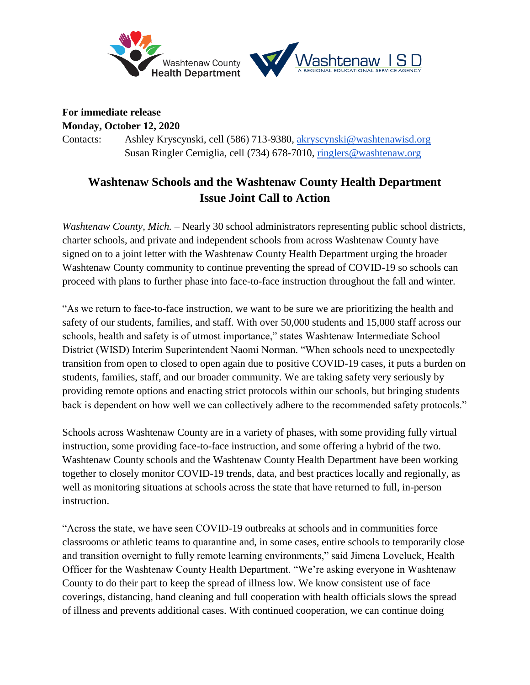

#### **For immediate release**

**Monday, October 12, 2020**

Contacts: Ashley Kryscynski, cell (586) 713-9380, [akryscynski@washtenawisd.org](mailto:akryscynski@washtenawisd.org) Susan Ringler Cerniglia, cell (734) 678-7010, [ringlers@washtenaw.org](mailto:ringlers@washtenaw.org)

# **Washtenaw Schools and the Washtenaw County Health Department Issue Joint Call to Action**

*Washtenaw County, Mich. –* Nearly 30 school administrators representing public school districts, charter schools, and private and independent schools from across Washtenaw County have signed on to a joint letter with the Washtenaw County Health Department urging the broader Washtenaw County community to continue preventing the spread of COVID-19 so schools can proceed with plans to further phase into face-to-face instruction throughout the fall and winter.

"As we return to face-to-face instruction, we want to be sure we are prioritizing the health and safety of our students, families, and staff. With over 50,000 students and 15,000 staff across our schools, health and safety is of utmost importance," states Washtenaw Intermediate School District (WISD) Interim Superintendent Naomi Norman. "When schools need to unexpectedly transition from open to closed to open again due to positive COVID-19 cases, it puts a burden on students, families, staff, and our broader community. We are taking safety very seriously by providing remote options and enacting strict protocols within our schools, but bringing students back is dependent on how well we can collectively adhere to the recommended safety protocols."

Schools across Washtenaw County are in a variety of phases, with some providing fully virtual instruction, some providing face-to-face instruction, and some offering a hybrid of the two. Washtenaw County schools and the Washtenaw County Health Department have been working together to closely monitor COVID-19 trends, data, and best practices locally and regionally, as well as monitoring situations at schools across the state that have returned to full, in-person instruction.

"Across the state, we have seen COVID-19 outbreaks at schools and in communities force classrooms or athletic teams to quarantine and, in some cases, entire schools to temporarily close and transition overnight to fully remote learning environments," said Jimena Loveluck, Health Officer for the Washtenaw County Health Department. "We're asking everyone in Washtenaw County to do their part to keep the spread of illness low. We know consistent use of face coverings, distancing, hand cleaning and full cooperation with health officials slows the spread of illness and prevents additional cases. With continued cooperation, we can continue doing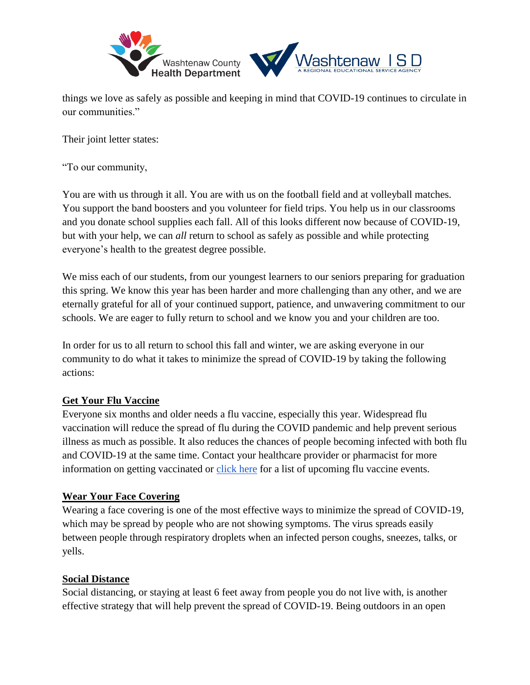

things we love as safely as possible and keeping in mind that COVID-19 continues to circulate in our communities."

Their joint letter states:

"To our community,

You are with us through it all. You are with us on the football field and at volleyball matches. You support the band boosters and you volunteer for field trips. You help us in our classrooms and you donate school supplies each fall. All of this looks different now because of COVID-19, but with your help, we can *all* return to school as safely as possible and while protecting everyone's health to the greatest degree possible.

We miss each of our students, from our youngest learners to our seniors preparing for graduation this spring. We know this year has been harder and more challenging than any other, and we are eternally grateful for all of your continued support, patience, and unwavering commitment to our schools. We are eager to fully return to school and we know you and your children are too.

In order for us to all return to school this fall and winter, we are asking everyone in our community to do what it takes to minimize the spread of COVID-19 by taking the following actions:

#### **Get Your Flu Vaccine**

Everyone six months and older needs a flu vaccine, especially this year. Widespread flu vaccination will reduce the spread of flu during the COVID pandemic and help prevent serious illness as much as possible. It also reduces the chances of people becoming infected with both flu and COVID-19 at the same time. Contact your healthcare provider or pharmacist for more information on getting vaccinated or [click here](https://www.washtenaw.org/1332/Flu-Vaccine) for a list of upcoming flu vaccine events.

#### **Wear Your Face Covering**

Wearing a face covering is one of the most effective ways to minimize the spread of COVID-19, which may be spread by people who are not showing symptoms. The virus spreads easily between people through respiratory droplets when an infected person coughs, sneezes, talks, or yells.

#### **Social Distance**

Social distancing, or staying at least 6 feet away from people you do not live with, is another effective strategy that will help prevent the spread of COVID-19. Being outdoors in an open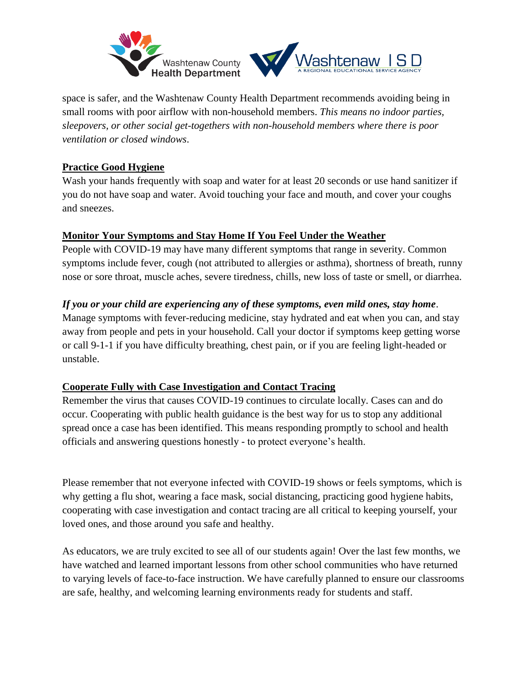

space is safer, and the Washtenaw County Health Department recommends avoiding being in small rooms with poor airflow with non-household members. *This means no indoor parties, sleepovers, or other social get-togethers with non-household members where there is poor ventilation or closed windows*.

## **Practice Good Hygiene**

Wash your hands frequently with soap and water for at least 20 seconds or use hand sanitizer if you do not have soap and water. Avoid touching your face and mouth, and cover your coughs and sneezes.

### **Monitor Your Symptoms and Stay Home If You Feel Under the Weather**

People with COVID-19 may have many different symptoms that range in severity. Common symptoms include fever, cough (not attributed to allergies or asthma), shortness of breath, runny nose or sore throat, muscle aches, severe tiredness, chills, new loss of taste or smell, or diarrhea.

## *If you or your child are experiencing any of these symptoms, even mild ones, stay home*.

Manage symptoms with fever-reducing medicine, stay hydrated and eat when you can, and stay away from people and pets in your household. Call your doctor if symptoms keep getting worse or call 9-1-1 if you have difficulty breathing, chest pain, or if you are feeling light-headed or unstable.

#### **Cooperate Fully with Case Investigation and Contact Tracing**

Remember the virus that causes COVID-19 continues to circulate locally. Cases can and do occur. Cooperating with public health guidance is the best way for us to stop any additional spread once a case has been identified. This means responding promptly to school and health officials and answering questions honestly - to protect everyone's health.

Please remember that not everyone infected with COVID-19 shows or feels symptoms, which is why getting a flu shot, wearing a face mask, social distancing, practicing good hygiene habits, cooperating with case investigation and contact tracing are all critical to keeping yourself, your loved ones, and those around you safe and healthy.

As educators, we are truly excited to see all of our students again! Over the last few months, we have watched and learned important lessons from other school communities who have returned to varying levels of face-to-face instruction. We have carefully planned to ensure our classrooms are safe, healthy, and welcoming learning environments ready for students and staff.